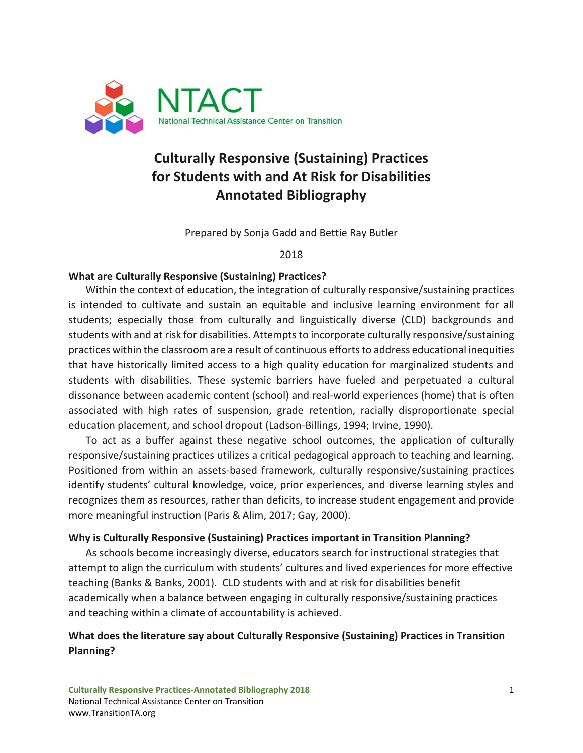

# **Culturally Responsive (Sustaining) Practices for Students with and At Risk for Disabilities Annotated Bibliography**

Prepared by Sonja Gadd and Bettie Ray Butler

2018

#### **What are Culturally Responsive (Sustaining) Practices?**

Within the context of education, the integration of culturally responsive/sustaining practices is intended to cultivate and sustain an equitable and inclusive learning environment for all students; especially those from culturally and linguistically diverse (CLD) backgrounds and students with and at risk for disabilities. Attempts to incorporate culturally responsive/sustaining practices within the classroom are a result of continuous efforts to address educational inequities that have historically limited access to a high quality education for marginalized students and students with disabilities. These systemic barriers have fueled and perpetuated a cultural dissonance between academic content (school) and real-world experiences (home) that is often associated with high rates of suspension, grade retention, racially disproportionate special education placement, and school dropout (Ladson-Billings, 1994; Irvine, 1990).

To act as a buffer against these negative school outcomes, the application of culturally responsive/sustaining practices utilizes a critical pedagogical approach to teaching and learning. Positioned from within an assets-based framework, culturally responsive/sustaining practices identify students' cultural knowledge, voice, prior experiences, and diverse learning styles and recognizes them as resources, rather than deficits, to increase student engagement and provide more meaningful instruction (Paris & Alim, 2017; Gay, 2000).

#### **Why is Culturally Responsive (Sustaining) Practices important in Transition Planning?**

As schools become increasingly diverse, educators search for instructional strategies that attempt to align the curriculum with students' cultures and lived experiences for more effective teaching (Banks & Banks, 2001). CLD students with and at risk for disabilities benefit academically when a balance between engaging in culturally responsive/sustaining practices and teaching within a climate of accountability is achieved.

#### **What does the literature say about Culturally Responsive (Sustaining) Practices in Transition Planning?**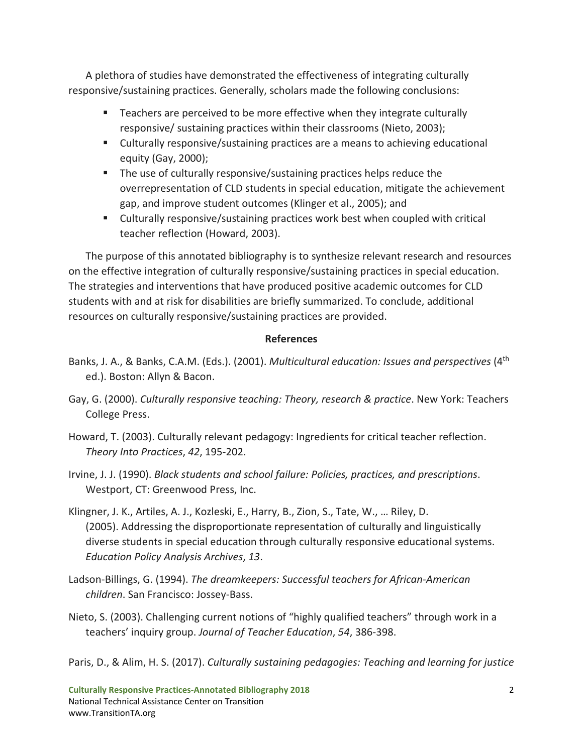A plethora of studies have demonstrated the effectiveness of integrating culturally responsive/sustaining practices. Generally, scholars made the following conclusions:

- Teachers are perceived to be more effective when they integrate culturally responsive/ sustaining practices within their classrooms (Nieto, 2003);
- Culturally responsive/sustaining practices are a means to achieving educational equity (Gay, 2000);
- The use of culturally responsive/sustaining practices helps reduce the overrepresentation of CLD students in special education, mitigate the achievement gap, and improve student outcomes (Klinger et al., 2005); and
- Culturally responsive/sustaining practices work best when coupled with critical teacher reflection (Howard, 2003).

The purpose of this annotated bibliography is to synthesize relevant research and resources on the effective integration of culturally responsive/sustaining practices in special education. The strategies and interventions that have produced positive academic outcomes for CLD students with and at risk for disabilities are briefly summarized. To conclude, additional resources on culturally responsive/sustaining practices are provided.

#### **References**

- Banks, J. A., & Banks, C.A.M. (Eds.). (2001). *Multicultural education: Issues and perspectives* (4th ed.). Boston: Allyn & Bacon.
- Gay, G. (2000). *Culturally responsive teaching: Theory, research & practice*. New York: Teachers College Press.
- Howard, T. (2003). Culturally relevant pedagogy: Ingredients for critical teacher reflection. *Theory Into Practices*, *42*, 195-202.
- Irvine, J. J. (1990). *Black students and school failure: Policies, practices, and prescriptions*. Westport, CT: Greenwood Press, Inc.
- Klingner, J. K., Artiles, A. J., Kozleski, E., Harry, B., Zion, S., Tate, W., … Riley, D. (2005). Addressing the disproportionate representation of culturally and linguistically diverse students in special education through culturally responsive educational systems. *Education Policy Analysis Archives*, *13*.
- Ladson-Billings, G. (1994). *The dreamkeepers: Successful teachers for African-American children*. San Francisco: Jossey-Bass.
- Nieto, S. (2003). Challenging current notions of "highly qualified teachers" through work in a teachers' inquiry group. *Journal of Teacher Education*, *54*, 386-398.

Paris, D., & Alim, H. S. (2017). *Culturally sustaining pedagogies: Teaching and learning for justice*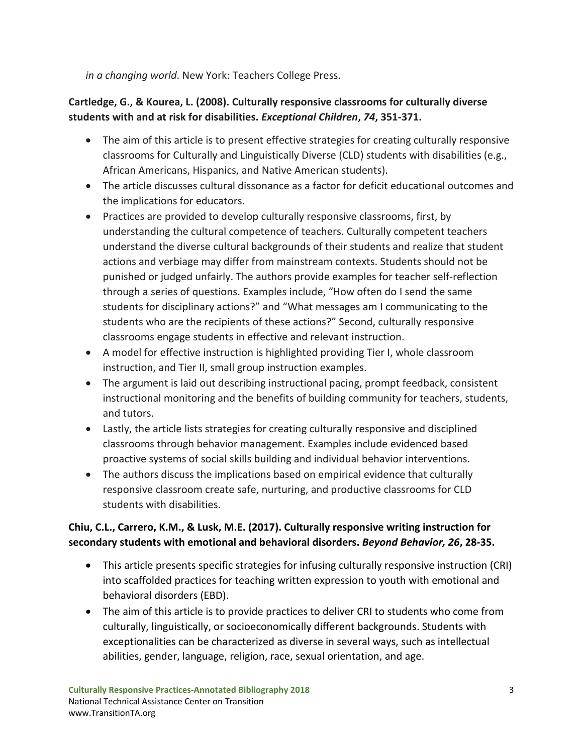*in a changing world*. New York: Teachers College Press.

### **Cartledge, G., & Kourea, L. (2008). Culturally responsive classrooms for culturally diverse students with and at risk for disabilities.** *Exceptional Children***,** *74***, 351-371.**

- The aim of this article is to present effective strategies for creating culturally responsive classrooms for Culturally and Linguistically Diverse (CLD) students with disabilities (e.g., African Americans, Hispanics, and Native American students).
- The article discusses cultural dissonance as a factor for deficit educational outcomes and the implications for educators.
- Practices are provided to develop culturally responsive classrooms, first, by understanding the cultural competence of teachers. Culturally competent teachers understand the diverse cultural backgrounds of their students and realize that student actions and verbiage may differ from mainstream contexts. Students should not be punished or judged unfairly. The authors provide examples for teacher self-reflection through a series of questions. Examples include, "How often do I send the same students for disciplinary actions?" and "What messages am I communicating to the students who are the recipients of these actions?" Second, culturally responsive classrooms engage students in effective and relevant instruction.
- A model for effective instruction is highlighted providing Tier I, whole classroom instruction, and Tier II, small group instruction examples.
- The argument is laid out describing instructional pacing, prompt feedback, consistent instructional monitoring and the benefits of building community for teachers, students, and tutors.
- Lastly, the article lists strategies for creating culturally responsive and disciplined classrooms through behavior management. Examples include evidenced based proactive systems of social skills building and individual behavior interventions.
- The authors discuss the implications based on empirical evidence that culturally responsive classroom create safe, nurturing, and productive classrooms for CLD students with disabilities.

### **Chiu, C.L., Carrero, K.M., & Lusk, M.E. (2017). Culturally responsive writing instruction for secondary students with emotional and behavioral disorders.** *Beyond Behavior, 26***, 28-35.**

- This article presents specific strategies for infusing culturally responsive instruction (CRI) into scaffolded practices for teaching written expression to youth with emotional and behavioral disorders (EBD).
- The aim of this article is to provide practices to deliver CRI to students who come from culturally, linguistically, or socioeconomically different backgrounds. Students with exceptionalities can be characterized as diverse in several ways, such as intellectual abilities, gender, language, religion, race, sexual orientation, and age.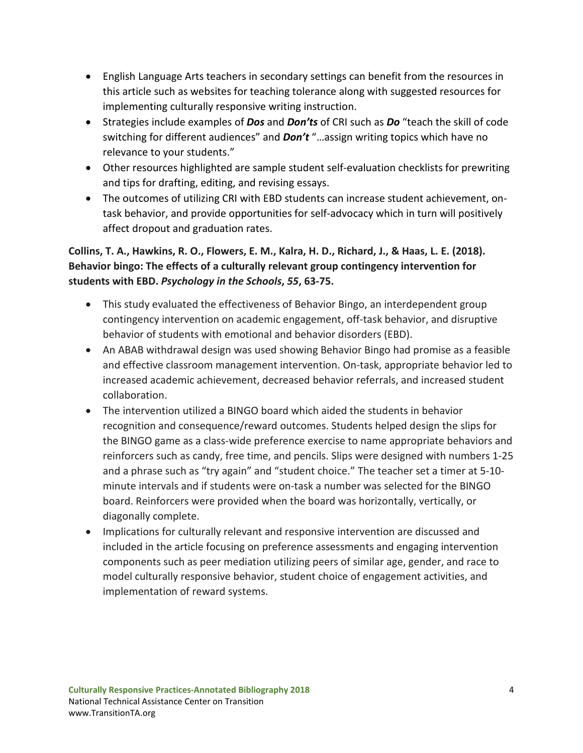- English Language Arts teachers in secondary settings can benefit from the resources in this article such as websites for teaching tolerance along with suggested resources for implementing culturally responsive writing instruction.
- Strategies include examples of *Dos* and *Don'ts* of CRI such as *Do* "teach the skill of code switching for different audiences" and *Don't* "…assign writing topics which have no relevance to your students."
- Other resources highlighted are sample student self-evaluation checklists for prewriting and tips for drafting, editing, and revising essays.
- The outcomes of utilizing CRI with EBD students can increase student achievement, ontask behavior, and provide opportunities for self-advocacy which in turn will positively affect dropout and graduation rates.

### **Collins, T. A., Hawkins, R. O., Flowers, E. M., Kalra, H. D., Richard, J., & Haas, L. E. (2018). Behavior bingo: The effects of a culturally relevant group contingency intervention for students with EBD.** *Psychology in the Schools***,** *55***, 63-75.**

- This study evaluated the effectiveness of Behavior Bingo, an interdependent group contingency intervention on academic engagement, off-task behavior, and disruptive behavior of students with emotional and behavior disorders (EBD).
- An ABAB withdrawal design was used showing Behavior Bingo had promise as a feasible and effective classroom management intervention. On-task, appropriate behavior led to increased academic achievement, decreased behavior referrals, and increased student collaboration.
- The intervention utilized a BINGO board which aided the students in behavior recognition and consequence/reward outcomes. Students helped design the slips for the BINGO game as a class-wide preference exercise to name appropriate behaviors and reinforcers such as candy, free time, and pencils. Slips were designed with numbers 1-25 and a phrase such as "try again" and "student choice." The teacher set a timer at 5-10 minute intervals and if students were on-task a number was selected for the BINGO board. Reinforcers were provided when the board was horizontally, vertically, or diagonally complete.
- Implications for culturally relevant and responsive intervention are discussed and included in the article focusing on preference assessments and engaging intervention components such as peer mediation utilizing peers of similar age, gender, and race to model culturally responsive behavior, student choice of engagement activities, and implementation of reward systems.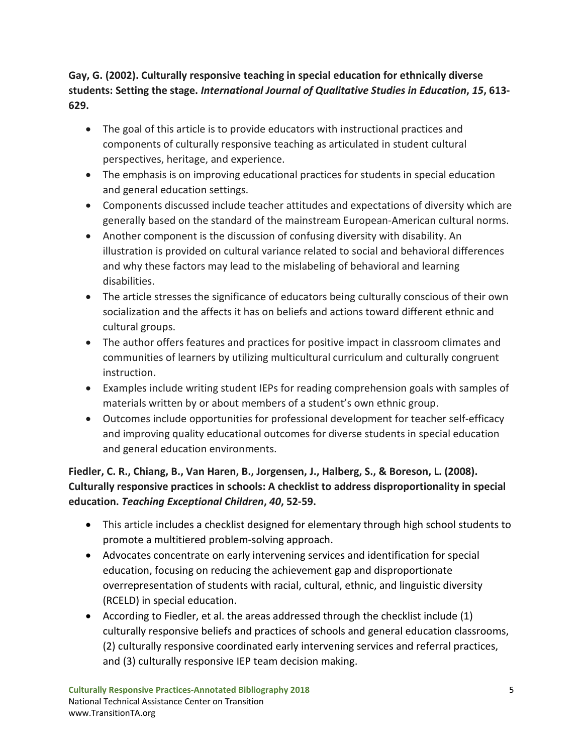**Gay, G. (2002). Culturally responsive teaching in special education for ethnically diverse students: Setting the stage.** *International Journal of Qualitative Studies in Education***,** *15***, 613- 629.**

- The goal of this article is to provide educators with instructional practices and components of culturally responsive teaching as articulated in student cultural perspectives, heritage, and experience.
- The emphasis is on improving educational practices for students in special education and general education settings.
- Components discussed include teacher attitudes and expectations of diversity which are generally based on the standard of the mainstream European-American cultural norms.
- Another component is the discussion of confusing diversity with disability. An illustration is provided on cultural variance related to social and behavioral differences and why these factors may lead to the mislabeling of behavioral and learning disabilities.
- The article stresses the significance of educators being culturally conscious of their own socialization and the affects it has on beliefs and actions toward different ethnic and cultural groups.
- The author offers features and practices for positive impact in classroom climates and communities of learners by utilizing multicultural curriculum and culturally congruent instruction.
- Examples include writing student IEPs for reading comprehension goals with samples of materials written by or about members of a student's own ethnic group.
- Outcomes include opportunities for professional development for teacher self-efficacy and improving quality educational outcomes for diverse students in special education and general education environments.

**Fiedler, C. R., Chiang, B., Van Haren, B., Jorgensen, J., Halberg, S., & Boreson, L. (2008). Culturally responsive practices in schools: A checklist to address disproportionality in special education.** *Teaching Exceptional Children***,** *40***, 52-59.**

- This article includes a checklist designed for elementary through high school students to promote a multitiered problem-solving approach.
- Advocates concentrate on early intervening services and identification for special education, focusing on reducing the achievement gap and disproportionate overrepresentation of students with racial, cultural, ethnic, and linguistic diversity (RCELD) in special education.
- According to Fiedler, et al. the areas addressed through the checklist include (1) culturally responsive beliefs and practices of schools and general education classrooms, (2) culturally responsive coordinated early intervening services and referral practices, and (3) culturally responsive IEP team decision making.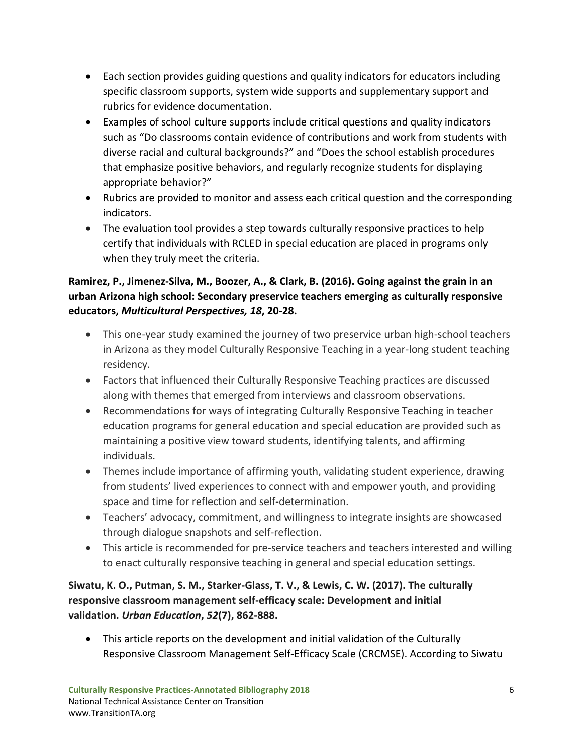- Each section provides guiding questions and quality indicators for educators including specific classroom supports, system wide supports and supplementary support and rubrics for evidence documentation.
- Examples of school culture supports include critical questions and quality indicators such as "Do classrooms contain evidence of contributions and work from students with diverse racial and cultural backgrounds?" and "Does the school establish procedures that emphasize positive behaviors, and regularly recognize students for displaying appropriate behavior?"
- Rubrics are provided to monitor and assess each critical question and the corresponding indicators.
- The evaluation tool provides a step towards culturally responsive practices to help certify that individuals with RCLED in special education are placed in programs only when they truly meet the criteria.

## **Ramirez, P., Jimenez-Silva, M., Boozer, A., & Clark, B. (2016). Going against the grain in an urban Arizona high school: Secondary preservice teachers emerging as culturally responsive educators,** *Multicultural Perspectives, 18***, 20-28.**

- This one-year study examined the journey of two preservice urban high-school teachers in Arizona as they model Culturally Responsive Teaching in a year-long student teaching residency.
- Factors that influenced their Culturally Responsive Teaching practices are discussed along with themes that emerged from interviews and classroom observations.
- Recommendations for ways of integrating Culturally Responsive Teaching in teacher education programs for general education and special education are provided such as maintaining a positive view toward students, identifying talents, and affirming individuals.
- Themes include importance of affirming youth, validating student experience, drawing from students' lived experiences to connect with and empower youth, and providing space and time for reflection and self-determination.
- Teachers' advocacy, commitment, and willingness to integrate insights are showcased through dialogue snapshots and self-reflection.
- This article is recommended for pre-service teachers and teachers interested and willing to enact culturally responsive teaching in general and special education settings.

### **Siwatu, K. O., Putman, S. M., Starker-Glass, T. V., & Lewis, C. W. (2017). The culturally responsive classroom management self-efficacy scale: Development and initial validation.** *Urban Education***,** *52***(7), 862-888.**

• This article reports on the development and initial validation of the Culturally Responsive Classroom Management Self-Efficacy Scale (CRCMSE). According to Siwatu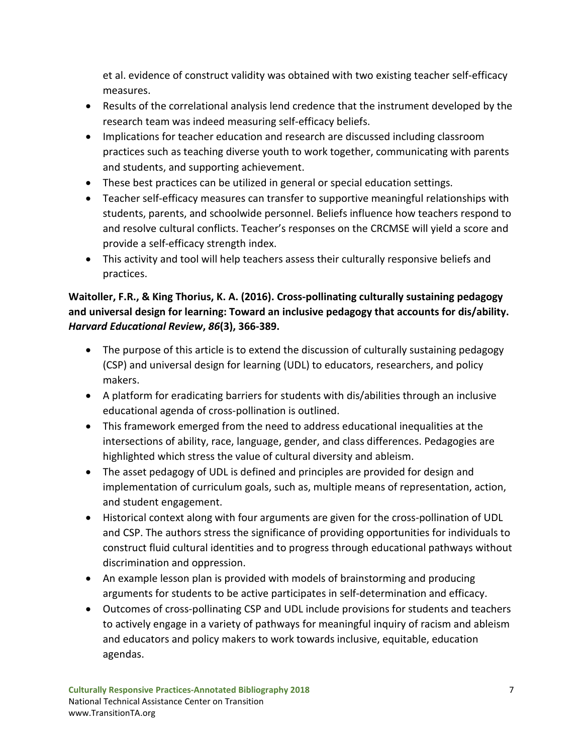et al. evidence of construct validity was obtained with two existing teacher self-efficacy measures.

- Results of the correlational analysis lend credence that the instrument developed by the research team was indeed measuring self-efficacy beliefs.
- Implications for teacher education and research are discussed including classroom practices such as teaching diverse youth to work together, communicating with parents and students, and supporting achievement.
- These best practices can be utilized in general or special education settings.
- Teacher self-efficacy measures can transfer to supportive meaningful relationships with students, parents, and schoolwide personnel. Beliefs influence how teachers respond to and resolve cultural conflicts. Teacher's responses on the CRCMSE will yield a score and provide a self-efficacy strength index.
- This activity and tool will help teachers assess their culturally responsive beliefs and practices.

## **Waitoller, F.R., & King Thorius, K. A. (2016). Cross-pollinating culturally sustaining pedagogy and universal design for learning: Toward an inclusive pedagogy that accounts for dis/ability.**  *Harvard Educational Review***,** *86***(3), 366-389.**

- The purpose of this article is to extend the discussion of culturally sustaining pedagogy (CSP) and universal design for learning (UDL) to educators, researchers, and policy makers.
- A platform for eradicating barriers for students with dis/abilities through an inclusive educational agenda of cross-pollination is outlined.
- This framework emerged from the need to address educational inequalities at the intersections of ability, race, language, gender, and class differences. Pedagogies are highlighted which stress the value of cultural diversity and ableism.
- The asset pedagogy of UDL is defined and principles are provided for design and implementation of curriculum goals, such as, multiple means of representation, action, and student engagement.
- Historical context along with four arguments are given for the cross-pollination of UDL and CSP. The authors stress the significance of providing opportunities for individuals to construct fluid cultural identities and to progress through educational pathways without discrimination and oppression.
- An example lesson plan is provided with models of brainstorming and producing arguments for students to be active participates in self-determination and efficacy.
- Outcomes of cross-pollinating CSP and UDL include provisions for students and teachers to actively engage in a variety of pathways for meaningful inquiry of racism and ableism and educators and policy makers to work towards inclusive, equitable, education agendas.